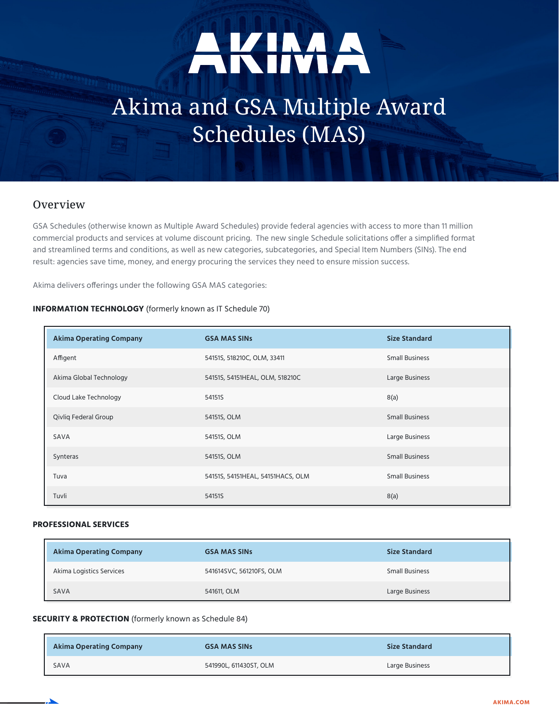# AKIMA

# Akima and GSA Multiple Award Schedules (MAS)

# **Overview**

GSA Schedules (otherwise known as Multiple Award Schedules) provide federal agencies with access to more than 11 million commercial products and services at volume discount pricing. The new single Schedule solicitations offer a simplified format and streamlined terms and conditions, as well as new categories, subcategories, and Special Item Numbers (SINs). The end result: agencies save time, money, and energy procuring the services they need to ensure mission success.

Akima delivers offerings under the following GSA MAS categories:

#### **INFORMATION TECHNOLOGY** (formerly known as IT Schedule 70)

| <b>Akima Operating Company</b> | <b>GSA MAS SINS</b>               | <b>Size Standard</b>  |
|--------------------------------|-----------------------------------|-----------------------|
| Affigent                       | 54151S, 518210C, OLM, 33411       | <b>Small Business</b> |
| Akima Global Technology        | 54151S, 54151HEAL, OLM, 518210C   | Large Business        |
| Cloud Lake Technology          | 54151S                            | 8(a)                  |
| Qivliq Federal Group           | 54151S, OLM                       | <b>Small Business</b> |
| SAVA                           | 54151S, OLM                       | Large Business        |
| Synteras                       | 54151S, OLM                       | <b>Small Business</b> |
| Tuva                           | 54151S, 54151HEAL, 54151HACS, OLM | <b>Small Business</b> |
| Tuvli                          | 54151S                            | 8(a)                  |

#### **PROFESSIONAL SERVICES**

| <b>Akima Operating Company</b> | <b>GSA MAS SINS</b>      | <b>Size Standard</b>  |
|--------------------------------|--------------------------|-----------------------|
| Akima Logistics Services       | 541614SVC, 561210FS, OLM | <b>Small Business</b> |
| SAVA                           | 541611, OLM              | Large Business        |

#### **SECURITY & PROTECTION** (formerly known as Schedule 84)

| <b>Akima Operating Company</b> | <b>GSA MAS SINS</b>    | <b>Size Standard</b> |
|--------------------------------|------------------------|----------------------|
| SAVA                           | 541990L, 611430ST, OLM | Large Business       |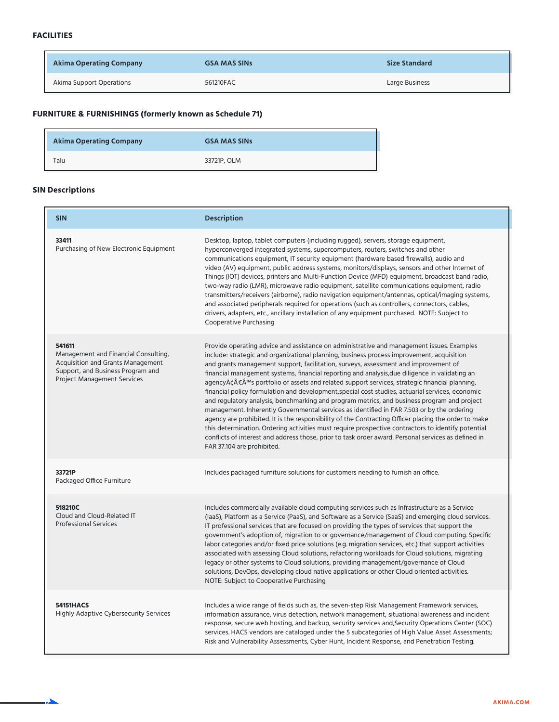| Akima Operating Company  | <b>GSA MAS SINS</b> | <b>Size Standard</b> |
|--------------------------|---------------------|----------------------|
| Akima Support Operations | 561210FAC           | Large Business       |

## **FURNITURE & FURNISHINGS (formerly known as Schedule 71)**

| <b>Akima Operating Company</b> | <b>GSA MAS SINS</b> |
|--------------------------------|---------------------|
| Talu                           | 33721P, OLM         |

### **SIN Descriptions**

| <b>SIN</b>                                                                                                                                                     | <b>Description</b>                                                                                                                                                                                                                                                                                                                                                                                                                                                                                                                                                                                                                                                                                                                                                                                                                                                                                                                                                                                                                                                                                                                                                  |
|----------------------------------------------------------------------------------------------------------------------------------------------------------------|---------------------------------------------------------------------------------------------------------------------------------------------------------------------------------------------------------------------------------------------------------------------------------------------------------------------------------------------------------------------------------------------------------------------------------------------------------------------------------------------------------------------------------------------------------------------------------------------------------------------------------------------------------------------------------------------------------------------------------------------------------------------------------------------------------------------------------------------------------------------------------------------------------------------------------------------------------------------------------------------------------------------------------------------------------------------------------------------------------------------------------------------------------------------|
| 33411<br>Purchasing of New Electronic Equipment                                                                                                                | Desktop, laptop, tablet computers (including rugged), servers, storage equipment,<br>hyperconverged integrated systems, supercomputers, routers, switches and other<br>communications equipment, IT security equipment (hardware based firewalls), audio and<br>video (AV) equipment, public address systems, monitors/displays, sensors and other Internet of<br>Things (IOT) devices, printers and Multi-Function Device (MFD) equipment, broadcast band radio,<br>two-way radio (LMR), microwave radio equipment, satellite communications equipment, radio<br>transmitters/receivers (airborne), radio navigation equipment/antennas, optical/imaging systems,<br>and associated peripherals required for operations (such as controllers, connectors, cables,<br>drivers, adapters, etc., ancillary installation of any equipment purchased. NOTE: Subject to<br>Cooperative Purchasing                                                                                                                                                                                                                                                                        |
| 541611<br>Management and Financial Consulting,<br>Acquisition and Grants Management<br>Support, and Business Program and<br><b>Project Management Services</b> | Provide operating advice and assistance on administrative and management issues. Examples<br>include: strategic and organizational planning, business process improvement, acquisition<br>and grants management support, facilitation, surveys, assessment and improvement of<br>financial management systems, financial reporting and analysis, due diligence in validating an<br>agency $A\hat{c}A\hat{f}$ ≤ $A^{\text{m}}$ s portfolio of assets and related support services, strategic financial planning,<br>financial policy formulation and development, special cost studies, actuarial services, economic<br>and regulatory analysis, benchmarking and program metrics, and business program and project<br>management. Inherently Governmental services as identified in FAR 7.503 or by the ordering<br>agency are prohibited. It is the responsibility of the Contracting Officer placing the order to make<br>this determination. Ordering activities must require prospective contractors to identify potential<br>conflicts of interest and address those, prior to task order award. Personal services as defined in<br>FAR 37.104 are prohibited. |
| 33721P<br>Packaged Office Furniture                                                                                                                            | Includes packaged furniture solutions for customers needing to furnish an office.                                                                                                                                                                                                                                                                                                                                                                                                                                                                                                                                                                                                                                                                                                                                                                                                                                                                                                                                                                                                                                                                                   |
| 518210C<br>Cloud and Cloud-Related IT<br><b>Professional Services</b>                                                                                          | Includes commercially available cloud computing services such as Infrastructure as a Service<br>(laaS), Platform as a Service (PaaS), and Software as a Service (SaaS) and emerging cloud services.<br>IT professional services that are focused on providing the types of services that support the<br>government's adoption of, migration to or governance/management of Cloud computing. Specific<br>labor categories and/or fixed price solutions (e.g. migration services, etc.) that support activities<br>associated with assessing Cloud solutions, refactoring workloads for Cloud solutions, migrating<br>legacy or other systems to Cloud solutions, providing management/governance of Cloud<br>solutions, DevOps, developing cloud native applications or other Cloud oriented activities.<br>NOTE: Subject to Cooperative Purchasing                                                                                                                                                                                                                                                                                                                  |
| <b>54151HACS</b><br><b>Highly Adaptive Cybersecurity Services</b>                                                                                              | Includes a wide range of fields such as, the seven-step Risk Management Framework services,<br>information assurance, virus detection, network management, situational awareness and incident<br>response, secure web hosting, and backup, security services and, Security Operations Center (SOC)<br>services. HACS vendors are cataloged under the 5 subcategories of High Value Asset Assessments;<br>Risk and Vulnerability Assessments, Cyber Hunt, Incident Response, and Penetration Testing.                                                                                                                                                                                                                                                                                                                                                                                                                                                                                                                                                                                                                                                                |